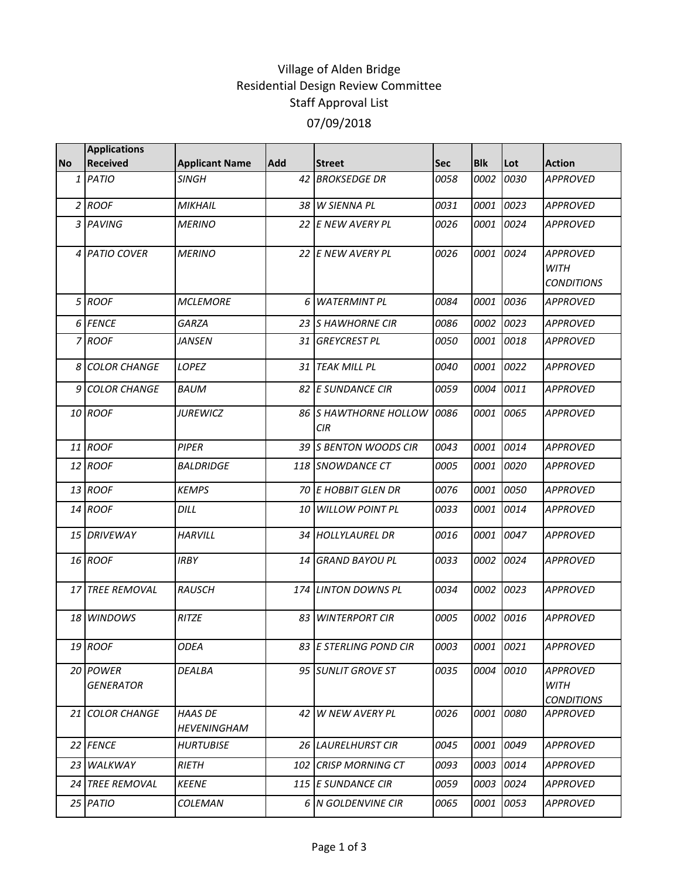## Village of Alden Bridge Residential Design Review Committee Staff Approval List 07/09/2018

| <b>Applications</b>          |                               |     |                        |                                                                                                                                                                                                                                                                                                                                                                                                                                        |             |      |                                                     |
|------------------------------|-------------------------------|-----|------------------------|----------------------------------------------------------------------------------------------------------------------------------------------------------------------------------------------------------------------------------------------------------------------------------------------------------------------------------------------------------------------------------------------------------------------------------------|-------------|------|-----------------------------------------------------|
| <b>Received</b>              | <b>Applicant Name</b>         | Add | <b>Street</b>          | <b>Sec</b>                                                                                                                                                                                                                                                                                                                                                                                                                             | <b>Blk</b>  | Lot  | <b>Action</b>                                       |
| 1 PATIO                      | <b>SINGH</b>                  | 42  | <b>BROKSEDGE DR</b>    | 0058                                                                                                                                                                                                                                                                                                                                                                                                                                   | 0002        | 0030 | <b>APPROVED</b>                                     |
| 2 ROOF                       | <b>MIKHAIL</b>                |     |                        | 0031                                                                                                                                                                                                                                                                                                                                                                                                                                   | 0001        | 0023 | <b>APPROVED</b>                                     |
| 3 PAVING                     | <b>MERINO</b>                 |     |                        | 0026                                                                                                                                                                                                                                                                                                                                                                                                                                   | 0001        | 0024 | <b>APPROVED</b>                                     |
| 4 PATIO COVER                | <b>MERINO</b>                 |     |                        | 0026                                                                                                                                                                                                                                                                                                                                                                                                                                   | 0001        | 0024 | <b>APPROVED</b><br><b>WITH</b><br><b>CONDITIONS</b> |
| 5 ROOF                       | <b>MCLEMORE</b>               | 6   | <b>WATERMINT PL</b>    | 0084                                                                                                                                                                                                                                                                                                                                                                                                                                   | 0001        | 0036 | <b>APPROVED</b>                                     |
| 6 FENCE                      | <b>GARZA</b>                  |     |                        | 0086                                                                                                                                                                                                                                                                                                                                                                                                                                   | 0002        | 0023 | <b>APPROVED</b>                                     |
| 7 ROOF                       | JANSEN                        |     | <b>GREYCREST PL</b>    | 0050                                                                                                                                                                                                                                                                                                                                                                                                                                   | 0001        | 0018 | <b>APPROVED</b>                                     |
| 8 COLOR CHANGE               | LOPEZ                         | 31  | <b>TEAK MILL PL</b>    | 0040                                                                                                                                                                                                                                                                                                                                                                                                                                   | 0001        | 0022 | <b>APPROVED</b>                                     |
| <b>COLOR CHANGE</b><br>9     | <b>BAUM</b>                   |     |                        | 0059                                                                                                                                                                                                                                                                                                                                                                                                                                   | 0004        | 0011 | <b>APPROVED</b>                                     |
| 10 ROOF                      | <b>JUREWICZ</b>               |     | <b>CIR</b>             | 0086                                                                                                                                                                                                                                                                                                                                                                                                                                   | 0001        | 0065 | <b>APPROVED</b>                                     |
| 11 ROOF                      | <b>PIPER</b>                  |     |                        | 0043                                                                                                                                                                                                                                                                                                                                                                                                                                   | 0001        | 0014 | <b>APPROVED</b>                                     |
| 12 ROOF                      | <b>BALDRIDGE</b>              |     |                        | 0005                                                                                                                                                                                                                                                                                                                                                                                                                                   | <i>0001</i> | 0020 | APPROVED                                            |
| 13 ROOF                      | <b>KEMPS</b>                  |     |                        | 0076                                                                                                                                                                                                                                                                                                                                                                                                                                   | 0001        | 0050 | <b>APPROVED</b>                                     |
| 14 ROOF                      | DILL                          |     | <b>WILLOW POINT PL</b> | 0033                                                                                                                                                                                                                                                                                                                                                                                                                                   | 0001        | 0014 | APPROVED                                            |
| 15 DRIVEWAY                  | <b>HARVILL</b>                |     |                        | 0016                                                                                                                                                                                                                                                                                                                                                                                                                                   | 0001        | 0047 | <b>APPROVED</b>                                     |
| 16 ROOF                      | <b>IRBY</b>                   | 14  | <b>GRAND BAYOU PL</b>  | 0033                                                                                                                                                                                                                                                                                                                                                                                                                                   | 0002        | 0024 | <b>APPROVED</b>                                     |
| <b>17 TREE REMOVAL</b>       | <b>RAUSCH</b>                 |     |                        | 0034                                                                                                                                                                                                                                                                                                                                                                                                                                   | 0002        | 0023 | <b>APPROVED</b>                                     |
| 18 WINDOWS                   | RITZE                         |     | <b>WINTERPORT CIR</b>  | 0005                                                                                                                                                                                                                                                                                                                                                                                                                                   | 0002        | 0016 | <b>APPROVED</b>                                     |
| 19 ROOF                      | <b>ODEA</b>                   |     |                        | 0003                                                                                                                                                                                                                                                                                                                                                                                                                                   |             |      | <b>APPROVED</b>                                     |
| 20 POWER<br><b>GENERATOR</b> | DEALBA                        |     |                        | 0035                                                                                                                                                                                                                                                                                                                                                                                                                                   |             |      | <b>APPROVED</b><br><b>WITH</b><br><b>CONDITIONS</b> |
| 21 COLOR CHANGE              | HAAS DE<br><b>HEVENINGHAM</b> |     | W NEW AVERY PL         | 0026                                                                                                                                                                                                                                                                                                                                                                                                                                   | 0001        | 0080 | <b>APPROVED</b>                                     |
| 22 FENCE                     | <b>HURTUBISE</b>              |     |                        | 0045                                                                                                                                                                                                                                                                                                                                                                                                                                   | 0001        | 0049 | <b>APPROVED</b>                                     |
| 23 WALKWAY                   | <b>RIETH</b>                  |     |                        | 0093                                                                                                                                                                                                                                                                                                                                                                                                                                   | 0003        | 0014 | APPROVED                                            |
| 24 TREE REMOVAL              | <b>KEENE</b>                  |     |                        | 0059                                                                                                                                                                                                                                                                                                                                                                                                                                   |             | 0024 | <b>APPROVED</b>                                     |
| 25 PATIO                     | COLEMAN                       |     |                        | 0065                                                                                                                                                                                                                                                                                                                                                                                                                                   | 0001        | 0053 | <b>APPROVED</b>                                     |
|                              |                               |     |                        | 38 W SIENNA PL<br>22 E NEW AVERY PL<br>22 E NEW AVERY PL<br>23 S HAWHORNE CIR<br>31<br>82 E SUNDANCE CIR<br>86 IS HAWTHORNE HOLLOW<br>39 S BENTON WOODS CIR<br>118 ISNOWDANCE CT<br><b>70 E HOBBIT GLEN DR</b><br>10<br>34 HOLLYLAUREL DR<br>174 LINTON DOWNS PL<br>83<br>83 E STERLING POND CIR<br>95 SUNLIT GROVE ST<br>42 I<br><b>26 LAURELHURST CIR</b><br><b>102 CRISP MORNING CT</b><br>115 E SUNDANCE CIR<br>6 N GOLDENVINE CIR |             |      | 0001 0021<br>0004 0010<br>0003                      |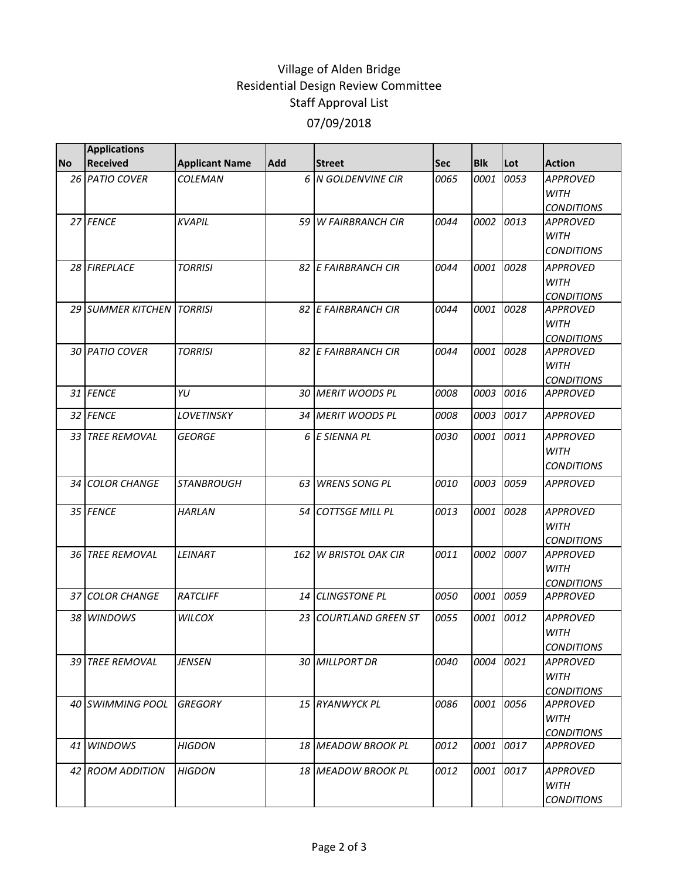## Village of Alden Bridge Residential Design Review Committee Staff Approval List 07/09/2018

|           | <b>Applications</b>       |                       |            |                              |      |            |      |                                                     |
|-----------|---------------------------|-----------------------|------------|------------------------------|------|------------|------|-----------------------------------------------------|
| <b>No</b> | <b>Received</b>           | <b>Applicant Name</b> | <b>Add</b> | <b>Street</b>                | Sec  | <b>Blk</b> | Lot  | <b>Action</b>                                       |
|           | 26 PATIO COVER            | <b>COLEMAN</b>        |            | 6 N GOLDENVINE CIR           | 0065 | 0001       | 0053 | <b>APPROVED</b><br><b>WITH</b><br><b>CONDITIONS</b> |
|           | 27 FENCE                  | <b>KVAPIL</b>         |            | 59 W FAIRBRANCH CIR          | 0044 | 0002       | 0013 | <b>APPROVED</b><br><b>WITH</b><br><b>CONDITIONS</b> |
|           | 28 FIREPLACE              | <b>TORRISI</b>        |            | 82 E FAIRBRANCH CIR          | 0044 | 0001       | 0028 | <b>APPROVED</b><br><b>WITH</b><br><b>CONDITIONS</b> |
|           | 29 SUMMER KITCHEN TORRISI |                       |            | 82 E FAIRBRANCH CIR          | 0044 | 0001       | 0028 | <b>APPROVED</b><br><b>WITH</b><br><b>CONDITIONS</b> |
|           | 30 PATIO COVER            | <b>TORRISI</b>        |            | 82 E FAIRBRANCH CIR          | 0044 | 0001       | 0028 | <b>APPROVED</b><br><b>WITH</b><br><b>CONDITIONS</b> |
|           | 31 FENCE                  | YU                    |            | 30 MERIT WOODS PL            | 0008 | 0003       | 0016 | <b>APPROVED</b>                                     |
|           | 32 FENCE                  | LOVETINSKY            |            | 34 MERIT WOODS PL            | 0008 | 0003       | 0017 | <b>APPROVED</b>                                     |
|           | 33 TREE REMOVAL           | <b>GEORGE</b>         |            | 6 E SIENNA PL                | 0030 | 0001       | 0011 | <b>APPROVED</b><br><b>WITH</b><br><b>CONDITIONS</b> |
|           | 34 COLOR CHANGE           | <b>STANBROUGH</b>     | 63         | <b>WRENS SONG PL</b>         | 0010 | 0003       | 0059 | <b>APPROVED</b>                                     |
|           | 35 FENCE                  | <b>HARLAN</b>         |            | 54 COTTSGE MILL PL           | 0013 | 0001       | 0028 | <b>APPROVED</b><br><b>WITH</b><br><b>CONDITIONS</b> |
|           | <b>36 TREE REMOVAL</b>    | <b>LEINART</b>        |            | <b>162 W BRISTOL OAK CIR</b> | 0011 | 0002       | 0007 | <b>APPROVED</b><br><b>WITH</b><br><b>CONDITIONS</b> |
|           | 37 COLOR CHANGE           | <b>RATCLIFF</b>       |            | 14 CLINGSTONE PL             | 0050 | 0001       | 0059 | <b>APPROVED</b>                                     |
|           | 38 WINDOWS                | <b>WILCOX</b>         |            | 23 COURTLAND GREEN ST        | 0055 | 0001       | 0012 | <b>APPROVED</b><br><b>WITH</b><br><b>CONDITIONS</b> |
|           | 39 TREE REMOVAL           | <b>JENSEN</b>         |            | 30 MILLPORT DR               | 0040 | 0004       | 0021 | <b>APPROVED</b><br>WITH<br><b>CONDITIONS</b>        |
|           | 40 SWIMMING POOL          | <b>GREGORY</b>        |            | 15 RYANWYCK PL               | 0086 | 0001       | 0056 | <b>APPROVED</b><br>WITH<br><b>CONDITIONS</b>        |
|           | 41 WINDOWS                | <b>HIGDON</b>         |            | 18 MEADOW BROOK PL           | 0012 | 0001       | 0017 | <b>APPROVED</b>                                     |
|           | 42 ROOM ADDITION          | <b>HIGDON</b>         |            | 18 MEADOW BROOK PL           | 0012 | 0001       | 0017 | <b>APPROVED</b><br>WITH<br><b>CONDITIONS</b>        |